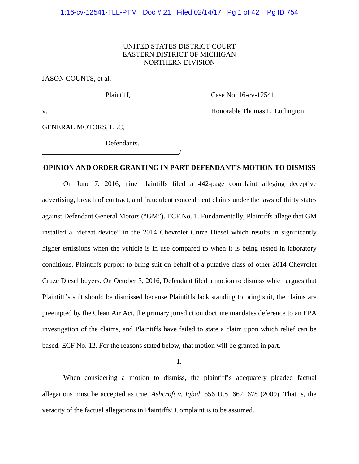# UNITED STATES DISTRICT COURT EASTERN DISTRICT OF MICHIGAN NORTHERN DIVISION

JASON COUNTS, et al,

Plaintiff, Case No. 16-cv-12541

v. **Example 2018** 12 and 2018 12 and 2018 12 and 2018 12 and 2018 12 and 2018 12 and 2018 12 and 2018 12 and 2018 12 and 2018 12 and 2018 12 and 2018 12 and 2018 12 and 2018 12 and 2019 12 and 2019 12 and 2019 12 and 2019

GENERAL MOTORS, LLC,

Defendants.

\_\_\_\_\_\_\_\_\_\_\_\_\_\_\_\_\_\_\_\_\_\_\_\_\_\_\_\_\_\_\_\_\_\_\_\_\_\_\_/

# **OPINION AND ORDER GRANTING IN PART DEFENDANT'S MOTION TO DISMISS**

 On June 7, 2016, nine plaintiffs filed a 442-page complaint alleging deceptive advertising, breach of contract, and fraudulent concealment claims under the laws of thirty states against Defendant General Motors ("GM"). ECF No. 1. Fundamentally, Plaintiffs allege that GM installed a "defeat device" in the 2014 Chevrolet Cruze Diesel which results in significantly higher emissions when the vehicle is in use compared to when it is being tested in laboratory conditions. Plaintiffs purport to bring suit on behalf of a putative class of other 2014 Chevrolet Cruze Diesel buyers. On October 3, 2016, Defendant filed a motion to dismiss which argues that Plaintiff's suit should be dismissed because Plaintiffs lack standing to bring suit, the claims are preempted by the Clean Air Act, the primary jurisdiction doctrine mandates deference to an EPA investigation of the claims, and Plaintiffs have failed to state a claim upon which relief can be based. ECF No. 12. For the reasons stated below, that motion will be granted in part.

#### **I.**

When considering a motion to dismiss, the plaintiff's adequately pleaded factual allegations must be accepted as true. *Ashcroft v. Iqbal*, 556 U.S. 662, 678 (2009). That is, the veracity of the factual allegations in Plaintiffs' Complaint is to be assumed.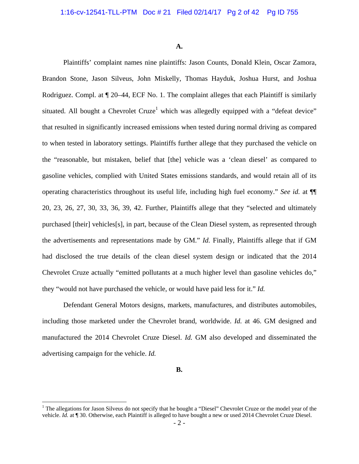**A.** 

 Plaintiffs' complaint names nine plaintiffs: Jason Counts, Donald Klein, Oscar Zamora, Brandon Stone, Jason Silveus, John Miskelly, Thomas Hayduk, Joshua Hurst, and Joshua Rodriguez. Compl. at  $\P$  20–44, ECF No. 1. The complaint alleges that each Plaintiff is similarly situated. All bought a Chevrolet Cruze<sup>1</sup> which was allegedly equipped with a "defeat device" that resulted in significantly increased emissions when tested during normal driving as compared to when tested in laboratory settings. Plaintiffs further allege that they purchased the vehicle on the "reasonable, but mistaken, belief that [the] vehicle was a 'clean diesel' as compared to gasoline vehicles, complied with United States emissions standards, and would retain all of its operating characteristics throughout its useful life, including high fuel economy." *See id.* at ¶¶ 20, 23, 26, 27, 30, 33, 36, 39, 42. Further, Plaintiffs allege that they "selected and ultimately purchased [their] vehicles[s], in part, because of the Clean Diesel system, as represented through the advertisements and representations made by GM." *Id.* Finally, Plaintiffs allege that if GM had disclosed the true details of the clean diesel system design or indicated that the 2014 Chevrolet Cruze actually "emitted pollutants at a much higher level than gasoline vehicles do," they "would not have purchased the vehicle, or would have paid less for it." *Id.*

 Defendant General Motors designs, markets, manufactures, and distributes automobiles, including those marketed under the Chevrolet brand, worldwide. *Id.* at 46. GM designed and manufactured the 2014 Chevrolet Cruze Diesel. *Id.* GM also developed and disseminated the advertising campaign for the vehicle. *Id.*

**B.** 

 $\overline{a}$ 

<sup>&</sup>lt;sup>1</sup> The allegations for Jason Silveus do not specify that he bought a "Diesel" Chevrolet Cruze or the model year of the vehicle. *Id.* at ¶ 30. Otherwise, each Plaintiff is alleged to have bought a new or used 2014 Chevrolet Cruze Diesel.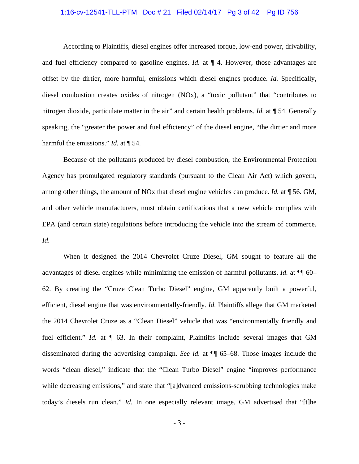### 1:16-cv-12541-TLL-PTM Doc # 21 Filed 02/14/17 Pg 3 of 42 Pg ID 756

According to Plaintiffs, diesel engines offer increased torque, low-end power, drivability, and fuel efficiency compared to gasoline engines. *Id.* at ¶ 4. However, those advantages are offset by the dirtier, more harmful, emissions which diesel engines produce. *Id.* Specifically, diesel combustion creates oxides of nitrogen (NOx), a "toxic pollutant" that "contributes to nitrogen dioxide, particulate matter in the air" and certain health problems. *Id.* at ¶ 54. Generally speaking, the "greater the power and fuel efficiency" of the diesel engine, "the dirtier and more harmful the emissions." *Id.* at ¶ 54.

Because of the pollutants produced by diesel combustion, the Environmental Protection Agency has promulgated regulatory standards (pursuant to the Clean Air Act) which govern, among other things, the amount of NOx that diesel engine vehicles can produce. *Id.* at ¶ 56. GM, and other vehicle manufacturers, must obtain certifications that a new vehicle complies with EPA (and certain state) regulations before introducing the vehicle into the stream of commerce. *Id.*

When it designed the 2014 Chevrolet Cruze Diesel, GM sought to feature all the advantages of diesel engines while minimizing the emission of harmful pollutants. *Id.* at ¶¶ 60– 62. By creating the "Cruze Clean Turbo Diesel" engine, GM apparently built a powerful, efficient, diesel engine that was environmentally-friendly. *Id.* Plaintiffs allege that GM marketed the 2014 Chevrolet Cruze as a "Clean Diesel" vehicle that was "environmentally friendly and fuel efficient." *Id.* at  $\P$  63. In their complaint, Plaintiffs include several images that GM disseminated during the advertising campaign. *See id.* at ¶¶ 65–68. Those images include the words "clean diesel," indicate that the "Clean Turbo Diesel" engine "improves performance while decreasing emissions," and state that "[a]dvanced emissions-scrubbing technologies make today's diesels run clean." *Id.* In one especially relevant image, GM advertised that "[t]he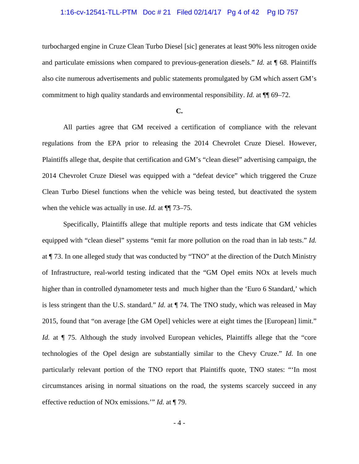## 1:16-cv-12541-TLL-PTM Doc # 21 Filed 02/14/17 Pg 4 of 42 Pg ID 757

turbocharged engine in Cruze Clean Turbo Diesel [sic] generates at least 90% less nitrogen oxide and particulate emissions when compared to previous-generation diesels." *Id.* at ¶ 68. Plaintiffs also cite numerous advertisements and public statements promulgated by GM which assert GM's commitment to high quality standards and environmental responsibility. *Id.* at  $\P$  69–72.

# **C.**

All parties agree that GM received a certification of compliance with the relevant regulations from the EPA prior to releasing the 2014 Chevrolet Cruze Diesel. However, Plaintiffs allege that, despite that certification and GM's "clean diesel" advertising campaign, the 2014 Chevrolet Cruze Diesel was equipped with a "defeat device" which triggered the Cruze Clean Turbo Diesel functions when the vehicle was being tested, but deactivated the system when the vehicle was actually in use. *Id.* at  $\P$  73–75.

Specifically, Plaintiffs allege that multiple reports and tests indicate that GM vehicles equipped with "clean diesel" systems "emit far more pollution on the road than in lab tests." *Id.* at ¶ 73. In one alleged study that was conducted by "TNO" at the direction of the Dutch Ministry of Infrastructure, real-world testing indicated that the "GM Opel emits NOx at levels much higher than in controlled dynamometer tests and much higher than the 'Euro 6 Standard,' which is less stringent than the U.S. standard." *Id.* at ¶ 74. The TNO study, which was released in May 2015, found that "on average [the GM Opel] vehicles were at eight times the [European] limit." *Id.* at  $\P$  75. Although the study involved European vehicles, Plaintiffs allege that the "core technologies of the Opel design are substantially similar to the Chevy Cruze." *Id.* In one particularly relevant portion of the TNO report that Plaintiffs quote, TNO states: "'In most circumstances arising in normal situations on the road, the systems scarcely succeed in any effective reduction of NOx emissions.'" *Id.* at ¶ 79.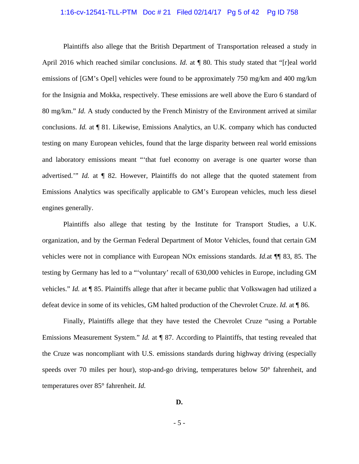### 1:16-cv-12541-TLL-PTM Doc # 21 Filed 02/14/17 Pg 5 of 42 Pg ID 758

Plaintiffs also allege that the British Department of Transportation released a study in April 2016 which reached similar conclusions. *Id.* at  $\P$  80. This study stated that "[r]eal world emissions of [GM's Opel] vehicles were found to be approximately 750 mg/km and 400 mg/km for the Insignia and Mokka, respectively. These emissions are well above the Euro 6 standard of 80 mg/km." *Id.* A study conducted by the French Ministry of the Environment arrived at similar conclusions. *Id.* at ¶ 81. Likewise, Emissions Analytics, an U.K. company which has conducted testing on many European vehicles, found that the large disparity between real world emissions and laboratory emissions meant "'that fuel economy on average is one quarter worse than advertised.'" *Id.* at ¶ 82. However, Plaintiffs do not allege that the quoted statement from Emissions Analytics was specifically applicable to GM's European vehicles, much less diesel engines generally.

Plaintiffs also allege that testing by the Institute for Transport Studies, a U.K. organization, and by the German Federal Department of Motor Vehicles, found that certain GM vehicles were not in compliance with European NOx emissions standards. *Id.*at ¶¶ 83, 85. The testing by Germany has led to a "'voluntary' recall of 630,000 vehicles in Europe, including GM vehicles." *Id.* at ¶ 85. Plaintiffs allege that after it became public that Volkswagen had utilized a defeat device in some of its vehicles, GM halted production of the Chevrolet Cruze. *Id.* at ¶ 86.

Finally, Plaintiffs allege that they have tested the Chevrolet Cruze "using a Portable Emissions Measurement System." *Id.* at ¶ 87. According to Plaintiffs, that testing revealed that the Cruze was noncompliant with U.S. emissions standards during highway driving (especially speeds over 70 miles per hour), stop-and-go driving, temperatures below 50° fahrenheit, and temperatures over 85° fahrenheit. *Id.*

**D.**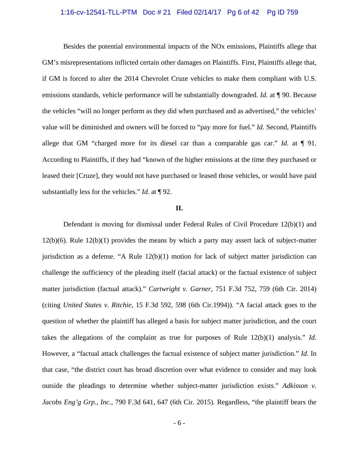### 1:16-cv-12541-TLL-PTM Doc # 21 Filed 02/14/17 Pg 6 of 42 Pg ID 759

 Besides the potential environmental impacts of the NOx emissions, Plaintiffs allege that GM's misrepresentations inflicted certain other damages on Plaintiffs. First, Plaintiffs allege that, if GM is forced to alter the 2014 Chevrolet Cruze vehicles to make them compliant with U.S. emissions standards, vehicle performance will be substantially downgraded. *Id.* at ¶ 90. Because the vehicles "will no longer perform as they did when purchased and as advertised," the vehicles' value will be diminished and owners will be forced to "pay more for fuel." *Id.* Second, Plaintiffs allege that GM "charged more for its diesel car than a comparable gas car." *Id.* at  $\P$  91. According to Plaintiffs, if they had "known of the higher emissions at the time they purchased or leased their [Cruze], they would not have purchased or leased those vehicles, or would have paid substantially less for the vehicles." *Id.* at ¶ 92.

#### **II.**

 Defendant is moving for dismissal under Federal Rules of Civil Procedure 12(b)(1) and 12(b)(6). Rule 12(b)(1) provides the means by which a party may assert lack of subject-matter jurisdiction as a defense. "A Rule 12(b)(1) motion for lack of subject matter jurisdiction can challenge the sufficiency of the pleading itself (facial attack) or the factual existence of subject matter jurisdiction (factual attack)." *Cartwright v. Garner*, 751 F.3d 752, 759 (6th Cir. 2014) (citing *United States v. Ritchie*, 15 F.3d 592, 598 (6th Cir.1994)). "A facial attack goes to the question of whether the plaintiff has alleged a basis for subject matter jurisdiction, and the court takes the allegations of the complaint as true for purposes of Rule 12(b)(1) analysis." *Id.* However, a "factual attack challenges the factual existence of subject matter jurisdiction." *Id.* In that case, "the district court has broad discretion over what evidence to consider and may look outside the pleadings to determine whether subject-matter jurisdiction exists." *Adkisson v. Jacobs Eng'g Grp., Inc*., 790 F.3d 641, 647 (6th Cir. 2015). Regardless, "the plaintiff bears the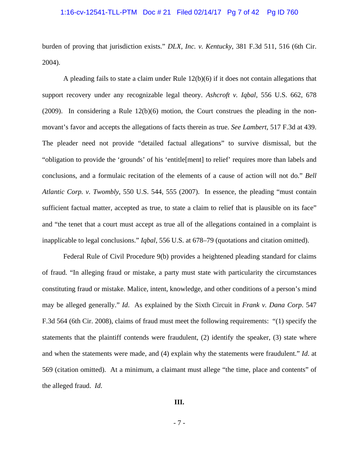### 1:16-cv-12541-TLL-PTM Doc # 21 Filed 02/14/17 Pg 7 of 42 Pg ID 760

burden of proving that jurisdiction exists." *DLX, Inc. v. Kentucky*, 381 F.3d 511, 516 (6th Cir. 2004).

A pleading fails to state a claim under Rule 12(b)(6) if it does not contain allegations that support recovery under any recognizable legal theory. *Ashcroft v. Iqbal*, 556 U.S. 662, 678 (2009). In considering a Rule  $12(b)(6)$  motion, the Court construes the pleading in the nonmovant's favor and accepts the allegations of facts therein as true. *See Lambert*, 517 F.3d at 439. The pleader need not provide "detailed factual allegations" to survive dismissal, but the "obligation to provide the 'grounds' of his 'entitle[ment] to relief' requires more than labels and conclusions, and a formulaic recitation of the elements of a cause of action will not do." *Bell Atlantic Corp. v. Twombly*, 550 U.S. 544, 555 (2007). In essence, the pleading "must contain sufficient factual matter, accepted as true, to state a claim to relief that is plausible on its face" and "the tenet that a court must accept as true all of the allegations contained in a complaint is inapplicable to legal conclusions." *Iqbal*, 556 U.S. at 678–79 (quotations and citation omitted).

Federal Rule of Civil Procedure 9(b) provides a heightened pleading standard for claims of fraud. "In alleging fraud or mistake, a party must state with particularity the circumstances constituting fraud or mistake. Malice, intent, knowledge, and other conditions of a person's mind may be alleged generally." *Id*. As explained by the Sixth Circuit in *Frank v. Dana Corp*. 547 F.3d 564 (6th Cir. 2008), claims of fraud must meet the following requirements: "(1) specify the statements that the plaintiff contends were fraudulent, (2) identify the speaker, (3) state where and when the statements were made, and (4) explain why the statements were fraudulent." *Id*. at 569 (citation omitted). At a minimum, a claimant must allege "the time, place and contents" of the alleged fraud. *Id*.

#### **III.**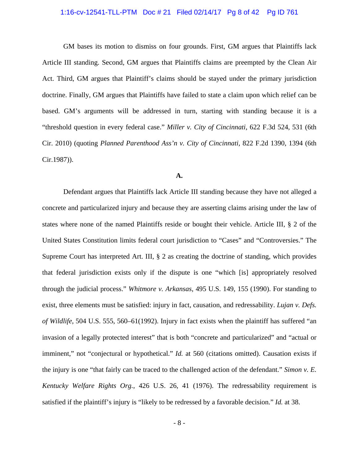## 1:16-cv-12541-TLL-PTM Doc # 21 Filed 02/14/17 Pg 8 of 42 Pg ID 761

GM bases its motion to dismiss on four grounds. First, GM argues that Plaintiffs lack Article III standing. Second, GM argues that Plaintiffs claims are preempted by the Clean Air Act. Third, GM argues that Plaintiff's claims should be stayed under the primary jurisdiction doctrine. Finally, GM argues that Plaintiffs have failed to state a claim upon which relief can be based. GM's arguments will be addressed in turn, starting with standing because it is a "threshold question in every federal case." *Miller v. City of Cincinnati*, 622 F.3d 524, 531 (6th Cir. 2010) (quoting *Planned Parenthood Ass'n v. City of Cincinnati*, 822 F.2d 1390, 1394 (6th Cir.1987)).

#### **A.**

Defendant argues that Plaintiffs lack Article III standing because they have not alleged a concrete and particularized injury and because they are asserting claims arising under the law of states where none of the named Plaintiffs reside or bought their vehicle. Article III, § 2 of the United States Constitution limits federal court jurisdiction to "Cases" and "Controversies." The Supreme Court has interpreted Art. III, § 2 as creating the doctrine of standing, which provides that federal jurisdiction exists only if the dispute is one "which [is] appropriately resolved through the judicial process." *Whitmore v. Arkansas*, 495 U.S. 149, 155 (1990). For standing to exist, three elements must be satisfied: injury in fact, causation, and redressability. *Lujan v. Defs. of Wildlife*, 504 U.S. 555, 560–61(1992). Injury in fact exists when the plaintiff has suffered "an invasion of a legally protected interest" that is both "concrete and particularized" and "actual or imminent," not "conjectural or hypothetical." *Id.* at 560 (citations omitted). Causation exists if the injury is one "that fairly can be traced to the challenged action of the defendant." *Simon v. E. Kentucky Welfare Rights Org.*, 426 U.S. 26, 41 (1976). The redressability requirement is satisfied if the plaintiff's injury is "likely to be redressed by a favorable decision." *Id.* at 38.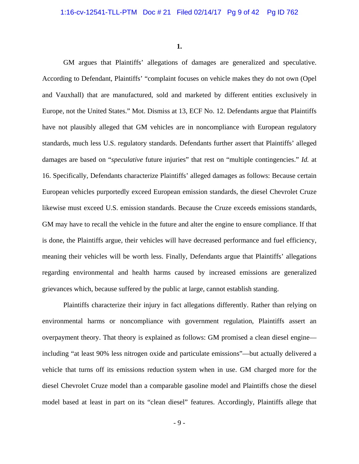**1.** 

GM argues that Plaintiffs' allegations of damages are generalized and speculative. According to Defendant, Plaintiffs' "complaint focuses on vehicle makes they do not own (Opel and Vauxhall) that are manufactured, sold and marketed by different entities exclusively in Europe, not the United States." Mot. Dismiss at 13, ECF No. 12. Defendants argue that Plaintiffs have not plausibly alleged that GM vehicles are in noncompliance with European regulatory standards, much less U.S. regulatory standards. Defendants further assert that Plaintiffs' alleged damages are based on "*speculative* future injuries" that rest on "multiple contingencies." *Id.* at 16. Specifically, Defendants characterize Plaintiffs' alleged damages as follows: Because certain European vehicles purportedly exceed European emission standards, the diesel Chevrolet Cruze likewise must exceed U.S. emission standards. Because the Cruze exceeds emissions standards, GM may have to recall the vehicle in the future and alter the engine to ensure compliance. If that is done, the Plaintiffs argue, their vehicles will have decreased performance and fuel efficiency, meaning their vehicles will be worth less. Finally, Defendants argue that Plaintiffs' allegations regarding environmental and health harms caused by increased emissions are generalized grievances which, because suffered by the public at large, cannot establish standing.

 Plaintiffs characterize their injury in fact allegations differently. Rather than relying on environmental harms or noncompliance with government regulation, Plaintiffs assert an overpayment theory. That theory is explained as follows: GM promised a clean diesel engine including "at least 90% less nitrogen oxide and particulate emissions"—but actually delivered a vehicle that turns off its emissions reduction system when in use. GM charged more for the diesel Chevrolet Cruze model than a comparable gasoline model and Plaintiffs chose the diesel model based at least in part on its "clean diesel" features. Accordingly, Plaintiffs allege that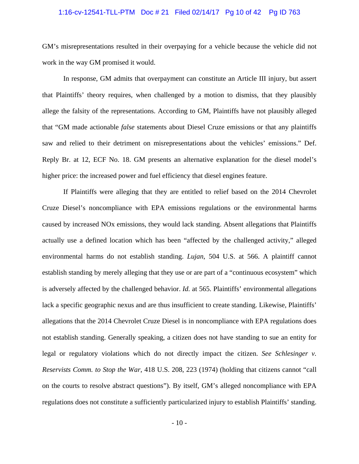### 1:16-cv-12541-TLL-PTM Doc # 21 Filed 02/14/17 Pg 10 of 42 Pg ID 763

GM's misrepresentations resulted in their overpaying for a vehicle because the vehicle did not work in the way GM promised it would.

 In response, GM admits that overpayment can constitute an Article III injury, but assert that Plaintiffs' theory requires, when challenged by a motion to dismiss, that they plausibly allege the falsity of the representations. According to GM, Plaintiffs have not plausibly alleged that "GM made actionable *false* statements about Diesel Cruze emissions or that any plaintiffs saw and relied to their detriment on misrepresentations about the vehicles' emissions." Def. Reply Br. at 12, ECF No. 18. GM presents an alternative explanation for the diesel model's higher price: the increased power and fuel efficiency that diesel engines feature.

 If Plaintiffs were alleging that they are entitled to relief based on the 2014 Chevrolet Cruze Diesel's noncompliance with EPA emissions regulations or the environmental harms caused by increased NOx emissions, they would lack standing. Absent allegations that Plaintiffs actually use a defined location which has been "affected by the challenged activity," alleged environmental harms do not establish standing. *Lujan*, 504 U.S. at 566. A plaintiff cannot establish standing by merely alleging that they use or are part of a "continuous ecosystem" which is adversely affected by the challenged behavior. *Id.* at 565. Plaintiffs' environmental allegations lack a specific geographic nexus and are thus insufficient to create standing. Likewise, Plaintiffs' allegations that the 2014 Chevrolet Cruze Diesel is in noncompliance with EPA regulations does not establish standing. Generally speaking, a citizen does not have standing to sue an entity for legal or regulatory violations which do not directly impact the citizen. *See Schlesinger v. Reservists Comm. to Stop the War*, 418 U.S. 208, 223 (1974) (holding that citizens cannot "call on the courts to resolve abstract questions"). By itself, GM's alleged noncompliance with EPA regulations does not constitute a sufficiently particularized injury to establish Plaintiffs' standing.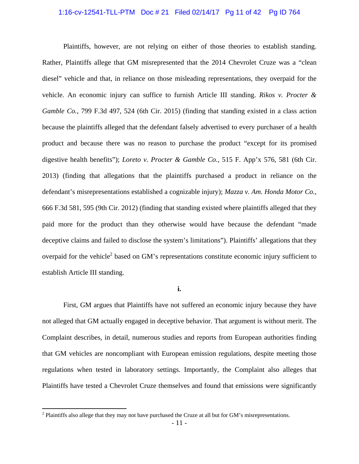#### 1:16-cv-12541-TLL-PTM Doc # 21 Filed 02/14/17 Pg 11 of 42 Pg ID 764

 Plaintiffs, however, are not relying on either of those theories to establish standing. Rather, Plaintiffs allege that GM misrepresented that the 2014 Chevrolet Cruze was a "clean diesel" vehicle and that, in reliance on those misleading representations, they overpaid for the vehicle. An economic injury can suffice to furnish Article III standing. *Rikos v. Procter & Gamble Co.*, 799 F.3d 497, 524 (6th Cir. 2015) (finding that standing existed in a class action because the plaintiffs alleged that the defendant falsely advertised to every purchaser of a health product and because there was no reason to purchase the product "except for its promised digestive health benefits"); *Loreto v. Procter & Gamble Co.*, 515 F. App'x 576, 581 (6th Cir. 2013) (finding that allegations that the plaintiffs purchased a product in reliance on the defendant's misrepresentations established a cognizable injury); *Mazza v. Am. Honda Motor Co.*, 666 F.3d 581, 595 (9th Cir. 2012) (finding that standing existed where plaintiffs alleged that they paid more for the product than they otherwise would have because the defendant "made deceptive claims and failed to disclose the system's limitations"). Plaintiffs' allegations that they overpaid for the vehicle<sup>2</sup> based on GM's representations constitute economic injury sufficient to establish Article III standing.

**i.** 

 First, GM argues that Plaintiffs have not suffered an economic injury because they have not alleged that GM actually engaged in deceptive behavior. That argument is without merit. The Complaint describes, in detail, numerous studies and reports from European authorities finding that GM vehicles are noncompliant with European emission regulations, despite meeting those regulations when tested in laboratory settings. Importantly, the Complaint also alleges that Plaintiffs have tested a Chevrolet Cruze themselves and found that emissions were significantly

 $\overline{a}$ 

 $2$  Plaintiffs also allege that they may not have purchased the Cruze at all but for GM's misrepresentations.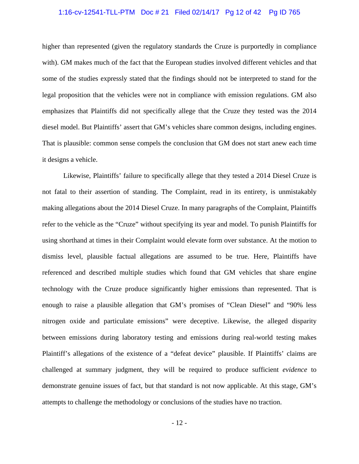### 1:16-cv-12541-TLL-PTM Doc # 21 Filed 02/14/17 Pg 12 of 42 Pg ID 765

higher than represented (given the regulatory standards the Cruze is purportedly in compliance with). GM makes much of the fact that the European studies involved different vehicles and that some of the studies expressly stated that the findings should not be interpreted to stand for the legal proposition that the vehicles were not in compliance with emission regulations. GM also emphasizes that Plaintiffs did not specifically allege that the Cruze they tested was the 2014 diesel model. But Plaintiffs' assert that GM's vehicles share common designs, including engines. That is plausible: common sense compels the conclusion that GM does not start anew each time it designs a vehicle.

Likewise, Plaintiffs' failure to specifically allege that they tested a 2014 Diesel Cruze is not fatal to their assertion of standing. The Complaint, read in its entirety, is unmistakably making allegations about the 2014 Diesel Cruze. In many paragraphs of the Complaint, Plaintiffs refer to the vehicle as the "Cruze" without specifying its year and model. To punish Plaintiffs for using shorthand at times in their Complaint would elevate form over substance. At the motion to dismiss level, plausible factual allegations are assumed to be true. Here, Plaintiffs have referenced and described multiple studies which found that GM vehicles that share engine technology with the Cruze produce significantly higher emissions than represented. That is enough to raise a plausible allegation that GM's promises of "Clean Diesel" and "90% less nitrogen oxide and particulate emissions" were deceptive. Likewise, the alleged disparity between emissions during laboratory testing and emissions during real-world testing makes Plaintiff's allegations of the existence of a "defeat device" plausible. If Plaintiffs' claims are challenged at summary judgment, they will be required to produce sufficient *evidence* to demonstrate genuine issues of fact, but that standard is not now applicable. At this stage, GM's attempts to challenge the methodology or conclusions of the studies have no traction.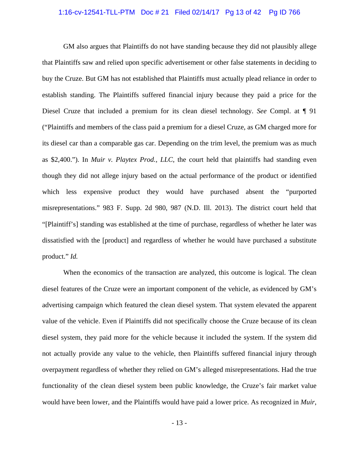### 1:16-cv-12541-TLL-PTM Doc # 21 Filed 02/14/17 Pg 13 of 42 Pg ID 766

GM also argues that Plaintiffs do not have standing because they did not plausibly allege that Plaintiffs saw and relied upon specific advertisement or other false statements in deciding to buy the Cruze. But GM has not established that Plaintiffs must actually plead reliance in order to establish standing. The Plaintiffs suffered financial injury because they paid a price for the Diesel Cruze that included a premium for its clean diesel technology. *See* Compl. at ¶ 91 ("Plaintiffs and members of the class paid a premium for a diesel Cruze, as GM charged more for its diesel car than a comparable gas car. Depending on the trim level, the premium was as much as \$2,400."). In *Muir v. Playtex Prod., LLC*, the court held that plaintiffs had standing even though they did not allege injury based on the actual performance of the product or identified which less expensive product they would have purchased absent the "purported misrepresentations." 983 F. Supp. 2d 980, 987 (N.D. Ill. 2013). The district court held that "[Plaintiff's] standing was established at the time of purchase, regardless of whether he later was dissatisfied with the [product] and regardless of whether he would have purchased a substitute product." *Id.*

When the economics of the transaction are analyzed, this outcome is logical. The clean diesel features of the Cruze were an important component of the vehicle, as evidenced by GM's advertising campaign which featured the clean diesel system. That system elevated the apparent value of the vehicle. Even if Plaintiffs did not specifically choose the Cruze because of its clean diesel system, they paid more for the vehicle because it included the system. If the system did not actually provide any value to the vehicle, then Plaintiffs suffered financial injury through overpayment regardless of whether they relied on GM's alleged misrepresentations. Had the true functionality of the clean diesel system been public knowledge, the Cruze's fair market value would have been lower, and the Plaintiffs would have paid a lower price. As recognized in *Muir*,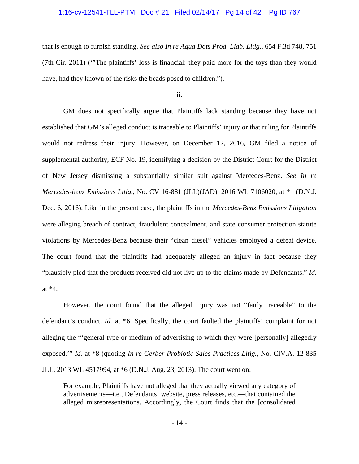## 1:16-cv-12541-TLL-PTM Doc # 21 Filed 02/14/17 Pg 14 of 42 Pg ID 767

that is enough to furnish standing. *See also In re Aqua Dots Prod. Liab. Litig.*, 654 F.3d 748, 751 (7th Cir. 2011) ('"The plaintiffs' loss is financial: they paid more for the toys than they would have, had they known of the risks the beads posed to children.").

**ii.** 

 GM does not specifically argue that Plaintiffs lack standing because they have not established that GM's alleged conduct is traceable to Plaintiffs' injury or that ruling for Plaintiffs would not redress their injury. However, on December 12, 2016, GM filed a notice of supplemental authority, ECF No. 19, identifying a decision by the District Court for the District of New Jersey dismissing a substantially similar suit against Mercedes-Benz. *See In re Mercedes-benz Emissions Litig.*, No. CV 16-881 (JLL)(JAD), 2016 WL 7106020, at \*1 (D.N.J. Dec. 6, 2016). Like in the present case, the plaintiffs in the *Mercedes-Benz Emissions Litigation* were alleging breach of contract, fraudulent concealment, and state consumer protection statute violations by Mercedes-Benz because their "clean diesel" vehicles employed a defeat device. The court found that the plaintiffs had adequately alleged an injury in fact because they "plausibly pled that the products received did not live up to the claims made by Defendants." *Id.* at \*4.

 However, the court found that the alleged injury was not "fairly traceable" to the defendant's conduct. *Id.* at \*6. Specifically, the court faulted the plaintiffs' complaint for not alleging the "'general type or medium of advertising to which they were [personally] allegedly exposed.'" *Id.* at \*8 (quoting *In re Gerber Probiotic Sales Practices Litig.*, No. CIV.A. 12-835 JLL, 2013 WL 4517994, at \*6 (D.N.J. Aug. 23, 2013). The court went on:

For example, Plaintiffs have not alleged that they actually viewed any category of advertisements—i.e., Defendants' website, press releases, etc.—that contained the alleged misrepresentations. Accordingly, the Court finds that the [consolidated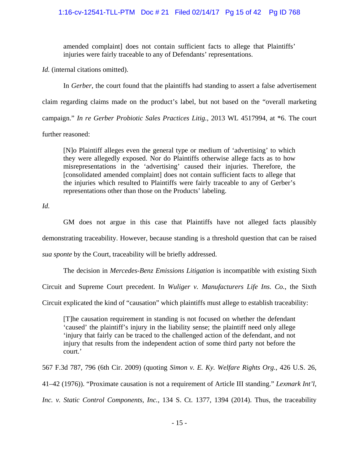# 1:16-cv-12541-TLL-PTM Doc # 21 Filed 02/14/17 Pg 15 of 42 Pg ID 768

amended complaint] does not contain sufficient facts to allege that Plaintiffs' injuries were fairly traceable to any of Defendants' representations.

*Id.* (internal citations omitted).

 In *Gerber*, the court found that the plaintiffs had standing to assert a false advertisement claim regarding claims made on the product's label, but not based on the "overall marketing campaign." *In re Gerber Probiotic Sales Practices Litig.*, 2013 WL 4517994, at \*6. The court further reasoned:

[N]o Plaintiff alleges even the general type or medium of 'advertising' to which they were allegedly exposed. Nor do Plaintiffs otherwise allege facts as to how misrepresentations in the 'advertising' caused their injuries. Therefore, the [consolidated amended complaint] does not contain sufficient facts to allege that the injuries which resulted to Plaintiffs were fairly traceable to any of Gerber's representations other than those on the Products' labeling.

*Id.*

 GM does not argue in this case that Plaintiffs have not alleged facts plausibly demonstrating traceability. However, because standing is a threshold question that can be raised *sua sponte* by the Court, traceability will be briefly addressed.

The decision in *Mercedes-Benz Emissions Litigation* is incompatible with existing Sixth

Circuit and Supreme Court precedent. In *Wuliger v. Manufacturers Life Ins. Co.*, the Sixth

Circuit explicated the kind of "causation" which plaintiffs must allege to establish traceability:

[T]he causation requirement in standing is not focused on whether the defendant 'caused' the plaintiff's injury in the liability sense; the plaintiff need only allege 'injury that fairly can be traced to the challenged action of the defendant, and not injury that results from the independent action of some third party not before the court.'

567 F.3d 787, 796 (6th Cir. 2009) (quoting *Simon v. E. Ky. Welfare Rights Org.*, 426 U.S. 26,

41–42 (1976)). "Proximate causation is not a requirement of Article III standing." *Lexmark Int'l,* 

*Inc. v. Static Control Components, Inc.*, 134 S. Ct. 1377, 1394 (2014). Thus, the traceability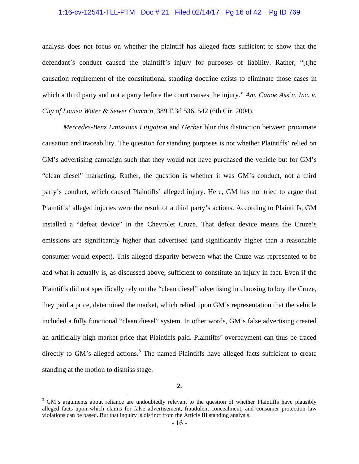### 1:16-cv-12541-TLL-PTM Doc # 21 Filed 02/14/17 Pg 16 of 42 Pg ID 769

analysis does not focus on whether the plaintiff has alleged facts sufficient to show that the defendant's conduct caused the plaintiff's injury for purposes of liability. Rather, "[t]he causation requirement of the constitutional standing doctrine exists to eliminate those cases in which a third party and not a party before the court causes the injury." Am. Canoe Ass'n, Inc. v. *City of Louisa Water & Sewer Comm'n*, 389 F.3d 536, 542 (6th Cir. 2004).

*Mercedes-Benz Emissions Litigation* and *Gerber* blur this distinction between proximate causation and traceability. The question for standing purposes is not whether Plaintiffs' relied on GM's advertising campaign such that they would not have purchased the vehicle but for GM's "clean diesel" marketing. Rather, the question is whether it was GM's conduct, not a third party's conduct, which caused Plaintiffs' alleged injury. Here, GM has not tried to argue that Plaintiffs' alleged injuries were the result of a third party's actions. According to Plaintiffs, GM installed a "defeat device" in the Chevrolet Cruze. That defeat device means the Cruze's emissions are significantly higher than advertised (and significantly higher than a reasonable consumer would expect). This alleged disparity between what the Cruze was represented to be and what it actually is, as discussed above, sufficient to constitute an injury in fact. Even if the Plaintiffs did not specifically rely on the "clean diesel" advertising in choosing to buy the Cruze, they paid a price, determined the market, which relied upon GM's representation that the vehicle included a fully functional "clean diesel" system. In other words, GM's false advertising created an artificially high market price that Plaintiffs paid. Plaintiffs' overpayment can thus be traced directly to GM's alleged actions.<sup>3</sup> The named Plaintiffs have alleged facts sufficient to create standing at the motion to dismiss stage.

 $\overline{a}$ 

<sup>&</sup>lt;sup>3</sup> GM's arguments about reliance are undoubtedly relevant to the question of whether Plaintiffs have plausibly alleged facts upon which claims for false advertisement, fraudulent concealment, and consumer protection law violations can be based. But that inquiry is distinct from the Article III standing analysis.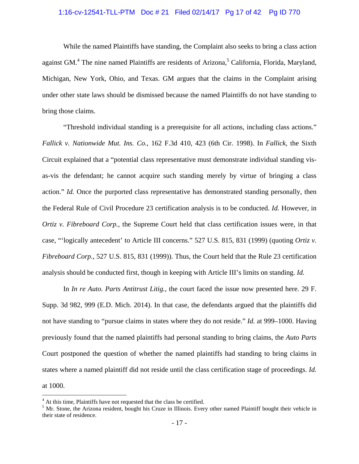# 1:16-cv-12541-TLL-PTM Doc # 21 Filed 02/14/17 Pg 17 of 42 Pg ID 770

 While the named Plaintiffs have standing, the Complaint also seeks to bring a class action against GM.<sup>4</sup> The nine named Plaintiffs are residents of Arizona,<sup>5</sup> California, Florida, Maryland, Michigan, New York, Ohio, and Texas. GM argues that the claims in the Complaint arising under other state laws should be dismissed because the named Plaintiffs do not have standing to bring those claims.

 "Threshold individual standing is a prerequisite for all actions, including class actions." *Fallick v. Nationwide Mut. Ins. Co.*, 162 F.3d 410, 423 (6th Cir. 1998). In *Fallick*, the Sixth Circuit explained that a "potential class representative must demonstrate individual standing visas-vis the defendant; he cannot acquire such standing merely by virtue of bringing a class action." *Id.* Once the purported class representative has demonstrated standing personally, then the Federal Rule of Civil Procedure 23 certification analysis is to be conducted. *Id.* However, in *Ortiz v. Fibreboard Corp.*, the Supreme Court held that class certification issues were, in that case, "'logically antecedent' to Article III concerns." 527 U.S. 815, 831 (1999) (quoting *Ortiz v. Fibreboard Corp.*, 527 U.S. 815, 831 (1999)). Thus, the Court held that the Rule 23 certification analysis should be conducted first, though in keeping with Article III's limits on standing. *Id.*

 In *In re Auto. Parts Antitrust Litig.*, the court faced the issue now presented here. 29 F. Supp. 3d 982, 999 (E.D. Mich. 2014). In that case, the defendants argued that the plaintiffs did not have standing to "pursue claims in states where they do not reside." *Id.* at 999–1000. Having previously found that the named plaintiffs had personal standing to bring claims, the *Auto Parts* Court postponed the question of whether the named plaintiffs had standing to bring claims in states where a named plaintiff did not reside until the class certification stage of proceedings. *Id.* at 1000.

1

<sup>&</sup>lt;sup>4</sup> At this time, Plaintiffs have not requested that the class be certified.

<sup>&</sup>lt;sup>5</sup> Mr. Stone, the Arizona resident, bought his Cruze in Illinois. Every other named Plaintiff bought their vehicle in their state of residence.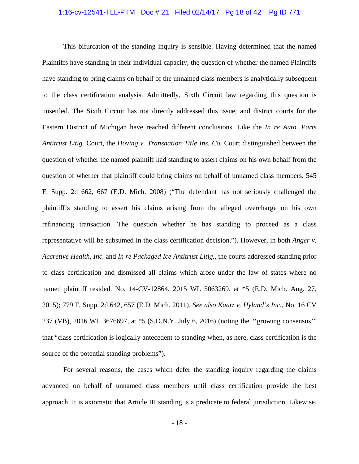### 1:16-cv-12541-TLL-PTM Doc # 21 Filed 02/14/17 Pg 18 of 42 Pg ID 771

 This bifurcation of the standing inquiry is sensible. Having determined that the named Plaintiffs have standing in their individual capacity, the question of whether the named Plaintiffs have standing to bring claims on behalf of the unnamed class members is analytically subsequent to the class certification analysis. Admittedly, Sixth Circuit law regarding this question is unsettled. The Sixth Circuit has not directly addressed this issue, and district courts for the Eastern District of Michigan have reached different conclusions. Like the *In re Auto. Parts Antitrust Litig.* Court, the *Hoving v. Transnation Title Ins. Co.* Court distinguished between the question of whether the named plaintiff had standing to assert claims on his own behalf from the question of whether that plaintiff could bring claims on behalf of unnamed class members. 545 F. Supp. 2d 662, 667 (E.D. Mich. 2008) ("The defendant has not seriously challenged the plaintiff's standing to assert his claims arising from the alleged overcharge on his own refinancing transaction. The question whether he has standing to proceed as a class representative will be subsumed in the class certification decision."). However, in both *Anger v. Accretive Health, Inc.* and *In re Packaged Ice Antitrust Litig.*, the courts addressed standing prior to class certification and dismissed all claims which arose under the law of states where no named plaintiff resided. No. 14-CV-12864, 2015 WL 5063269, at \*5 (E.D. Mich. Aug. 27, 2015); 779 F. Supp. 2d 642, 657 (E.D. Mich. 2011). *See also Kaatz v. Hyland's Inc.*, No. 16 CV 237 (VB), 2016 WL 3676697, at \*5 (S.D.N.Y. July 6, 2016) (noting the "'growing consensus'" that "class certification is logically antecedent to standing when, as here, class certification is the source of the potential standing problems").

 For several reasons, the cases which defer the standing inquiry regarding the claims advanced on behalf of unnamed class members until class certification provide the best approach. It is axiomatic that Article III standing is a predicate to federal jurisdiction. Likewise,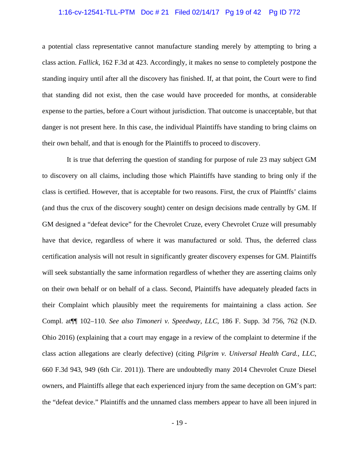### 1:16-cv-12541-TLL-PTM Doc # 21 Filed 02/14/17 Pg 19 of 42 Pg ID 772

a potential class representative cannot manufacture standing merely by attempting to bring a class action. *Fallick*, 162 F.3d at 423. Accordingly, it makes no sense to completely postpone the standing inquiry until after all the discovery has finished. If, at that point, the Court were to find that standing did not exist, then the case would have proceeded for months, at considerable expense to the parties, before a Court without jurisdiction. That outcome is unacceptable, but that danger is not present here. In this case, the individual Plaintiffs have standing to bring claims on their own behalf, and that is enough for the Plaintiffs to proceed to discovery.

 It is true that deferring the question of standing for purpose of rule 23 may subject GM to discovery on all claims, including those which Plaintiffs have standing to bring only if the class is certified. However, that is acceptable for two reasons. First, the crux of Plaintffs' claims (and thus the crux of the discovery sought) center on design decisions made centrally by GM. If GM designed a "defeat device" for the Chevrolet Cruze, every Chevrolet Cruze will presumably have that device, regardless of where it was manufactured or sold. Thus, the deferred class certification analysis will not result in significantly greater discovery expenses for GM. Plaintiffs will seek substantially the same information regardless of whether they are asserting claims only on their own behalf or on behalf of a class. Second, Plaintiffs have adequately pleaded facts in their Complaint which plausibly meet the requirements for maintaining a class action. *See*  Compl. at¶¶ 102–110. *See also Timoneri v. Speedway, LLC*, 186 F. Supp. 3d 756, 762 (N.D. Ohio 2016) (explaining that a court may engage in a review of the complaint to determine if the class action allegations are clearly defective) (citing *Pilgrim v. Universal Health Card., LLC*, 660 F.3d 943, 949 (6th Cir. 2011)). There are undoubtedly many 2014 Chevrolet Cruze Diesel owners, and Plaintiffs allege that each experienced injury from the same deception on GM's part: the "defeat device." Plaintiffs and the unnamed class members appear to have all been injured in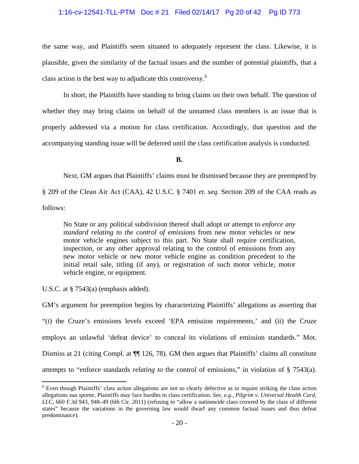# 1:16-cv-12541-TLL-PTM Doc # 21 Filed 02/14/17 Pg 20 of 42 Pg ID 773

the same way, and Plaintiffs seem situated to adequately represent the class. Likewise, it is plausible, given the similarity of the factual issues and the number of potential plaintiffs, that a class action is the best way to adjudicate this controversy.6

 In short, the Plaintiffs have standing to bring claims on their own behalf. The question of whether they may bring claims on behalf of the unnamed class members is an issue that is properly addressed via a motion for class certification. Accordingly, that question and the accompanying standing issue will be deferred until the class certification analysis is conducted.

**B.** 

Next, GM argues that Plaintiffs' claims must be dismissed because they are preempted by

§ 209 of the Clean Air Act (CAA), 42 U.S.C. § 7401 *et. seq.* Section 209 of the CAA reads as follows:

No State or any political subdivision thereof shall adopt or attempt to *enforce any standard relating to the control of emissions* from new motor vehicles or new motor vehicle engines subject to this part. No State shall require certification, inspection, or any other approval relating to the control of emissions from any new motor vehicle or new motor vehicle engine as condition precedent to the initial retail sale, titling (if any), or registration of such motor vehicle, motor vehicle engine, or equipment.

U.S.C. at § 7543(a) (emphasis added).

GM's argument for preemption begins by characterizing Plaintiffs' allegations as asserting that "(i) the Cruze's emissions levels exceed 'EPA emission requirements,' and (ii) the Cruze employs an unlawful 'defeat device' to conceal its violations of emission standards." Mot. Dismiss at 21 (citing Compl. at  $\P$  126, 78). GM then argues that Plaintiffs' claims all constitute attempts to "enforce standards *relating to* the control of emissions," in violation of § 7543(a).

The sum of the set of the set of the set of the set of the set of the class action of the class action of the class action of the class action allegations *sua sponte*, Plaintiffs may face hurdles to class certification. *See, e.g., Pilgrim v. Universal Health Card, LLC*, 660 F.3d 943, 948–49 (6th Cir. 2011) (refusing to "allow a nationwide class covered by the class of different states" because the variations in the governing law would dwarf any common factual issues and thus defeat predominance).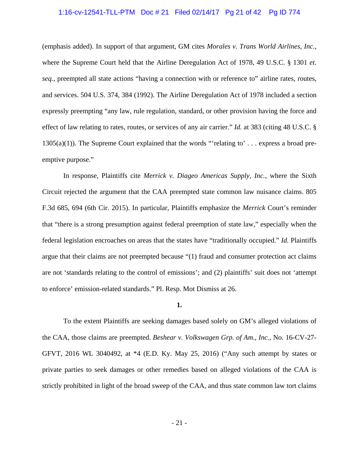### 1:16-cv-12541-TLL-PTM Doc # 21 Filed 02/14/17 Pg 21 of 42 Pg ID 774

(emphasis added). In support of that argument, GM cites *Morales v. Trans World Airlines, Inc.*, where the Supreme Court held that the Airline Deregulation Act of 1978, 49 U.S.C. § 1301 *et. seq.*, preempted all state actions "having a connection with or reference to" airline rates, routes, and services. 504 U.S. 374, 384 (1992). The Airline Deregulation Act of 1978 included a section expressly preempting "any law, rule regulation, standard, or other provision having the force and effect of law relating to rates, routes, or services of any air carrier." *Id.* at 383 (citing 48 U.S.C. §  $1305(a)(1)$ ). The Supreme Court explained that the words "'relating to'... express a broad preemptive purpose."

 In response, Plaintiffs cite *Merrick v. Diageo Americas Supply, Inc.*, where the Sixth Circuit rejected the argument that the CAA preempted state common law nuisance claims. 805 F.3d 685, 694 (6th Cir. 2015). In particular, Plaintiffs emphasize the *Merrick* Court's reminder that "there is a strong presumption against federal preemption of state law," especially when the federal legislation encroaches on areas that the states have "traditionally occupied." *Id.* Plaintiffs argue that their claims are not preempted because "(1) fraud and consumer protection act claims are not 'standards relating to the control of emissions'; and (2) plaintiffs' suit does not 'attempt to enforce' emission-related standards." Pl. Resp. Mot Dismiss at 26.

#### **1.**

 To the extent Plaintiffs are seeking damages based solely on GM's alleged violations of the CAA, those claims are preempted. *Beshear v. Volkswagen Grp. of Am., Inc.*, No. 16-CV-27- GFVT, 2016 WL 3040492, at \*4 (E.D. Ky. May 25, 2016) ("Any such attempt by states or private parties to seek damages or other remedies based on alleged violations of the CAA is strictly prohibited in light of the broad sweep of the CAA, and thus state common law tort claims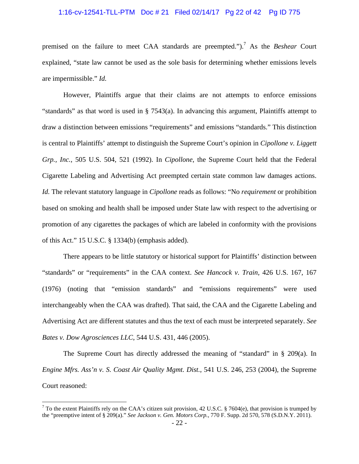### 1:16-cv-12541-TLL-PTM Doc # 21 Filed 02/14/17 Pg 22 of 42 Pg ID 775

premised on the failure to meet CAA standards are preempted.").<sup>7</sup> As the *Beshear* Court explained, "state law cannot be used as the sole basis for determining whether emissions levels are impermissible." *Id.*

 However, Plaintiffs argue that their claims are not attempts to enforce emissions "standards" as that word is used in § 7543(a). In advancing this argument, Plaintiffs attempt to draw a distinction between emissions "requirements" and emissions "standards." This distinction is central to Plaintiffs' attempt to distinguish the Supreme Court's opinion in *Cipollone v. Liggett Grp., Inc.*, 505 U.S. 504, 521 (1992). In *Cipollone*, the Supreme Court held that the Federal Cigarette Labeling and Advertising Act preempted certain state common law damages actions. *Id.* The relevant statutory language in *Cipollone* reads as follows: "No *requirement* or prohibition based on smoking and health shall be imposed under State law with respect to the advertising or promotion of any cigarettes the packages of which are labeled in conformity with the provisions of this Act." 15 U.S.C. § 1334(b) (emphasis added).

 There appears to be little statutory or historical support for Plaintiffs' distinction between "standards" or "requirements" in the CAA context. *See Hancock v. Train*, 426 U.S. 167, 167 (1976) (noting that "emission standards" and "emissions requirements" were used interchangeably when the CAA was drafted). That said, the CAA and the Cigarette Labeling and Advertising Act are different statutes and thus the text of each must be interpreted separately. *See Bates v. Dow Agrosciences LLC*, 544 U.S. 431, 446 (2005).

 The Supreme Court has directly addressed the meaning of "standard" in § 209(a). In *Engine Mfrs. Ass'n v. S. Coast Air Quality Mgmt. Dist.*, 541 U.S. 246, 253 (2004), the Supreme Court reasoned:

 $\overline{a}$ 

<sup>&</sup>lt;sup>7</sup> To the extent Plaintiffs rely on the CAA's citizen suit provision, 42 U.S.C. § 7604(e), that provision is trumped by the "preemptive intent of § 209(a)." *See Jackson v. Gen. Motors Corp.*, 770 F. Supp. 2d 570, 578 (S.D.N.Y. 2011).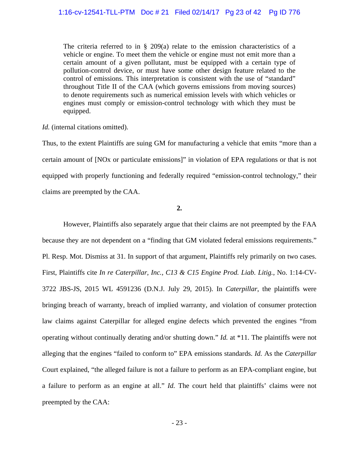The criteria referred to in  $\S$  209(a) relate to the emission characteristics of a vehicle or engine. To meet them the vehicle or engine must not emit more than a certain amount of a given pollutant, must be equipped with a certain type of pollution-control device, or must have some other design feature related to the control of emissions. This interpretation is consistent with the use of "standard" throughout Title II of the CAA (which governs emissions from moving sources) to denote requirements such as numerical emission levels with which vehicles or engines must comply or emission-control technology with which they must be equipped.

#### *Id.* (internal citations omitted).

Thus, to the extent Plaintiffs are suing GM for manufacturing a vehicle that emits "more than a certain amount of [NOx or particulate emissions]" in violation of EPA regulations or that is not equipped with properly functioning and federally required "emission-control technology," their claims are preempted by the CAA.

# **2.**

 However, Plaintiffs also separately argue that their claims are not preempted by the FAA because they are not dependent on a "finding that GM violated federal emissions requirements." Pl. Resp. Mot. Dismiss at 31. In support of that argument, Plaintiffs rely primarily on two cases. First, Plaintiffs cite *In re Caterpillar, Inc., C13 & C15 Engine Prod. Liab. Litig.*, No. 1:14-CV-3722 JBS-JS, 2015 WL 4591236 (D.N.J. July 29, 2015). In *Caterpillar*, the plaintiffs were bringing breach of warranty, breach of implied warranty, and violation of consumer protection law claims against Caterpillar for alleged engine defects which prevented the engines "from operating without continually derating and/or shutting down." *Id.* at \*11. The plaintiffs were not alleging that the engines "failed to conform to" EPA emissions standards. *Id.* As the *Caterpillar*  Court explained, "the alleged failure is not a failure to perform as an EPA-compliant engine, but a failure to perform as an engine at all." *Id.* The court held that plaintiffs' claims were not preempted by the CAA: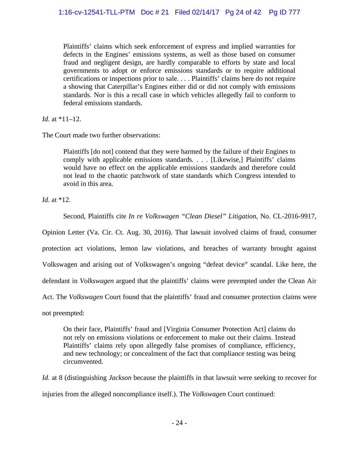Plaintiffs' claims which seek enforcement of express and implied warranties for defects in the Engines' emissions systems, as well as those based on consumer fraud and negligent design, are hardly comparable to efforts by state and local governments to adopt or enforce emissions standards or to require additional certifications or inspections prior to sale. . . . Plaintiffs' claims here do not require a showing that Caterpillar's Engines either did or did not comply with emissions standards. Nor is this a recall case in which vehicles allegedly fail to conform to federal emissions standards.

*Id.* at \*11–12.

The Court made two further observations:

Plaintiffs [do not] contend that they were harmed by the failure of their Engines to comply with applicable emissions standards. . . . [Likewise,] Plaintiffs' claims would have no effect on the applicable emissions standards and therefore could not lead to the chaotic patchwork of state standards which Congress intended to avoid in this area.

*Id.* at \*12.

Second, Plaintiffs cite *In re Volkswagen "Clean Diesel" Litigation*, No. CL-2016-9917,

Opinion Letter (Va. Cir. Ct. Aug. 30, 2016). That lawsuit involved claims of fraud, consumer protection act violations, lemon law violations, and breaches of warranty brought against Volkswagen and arising out of Volkswagen's ongoing "defeat device" scandal. Like here, the defendant in *Volkswagen* argued that the plaintiffs' claims were preempted under the Clean Air Act. The *Volkswagen* Court found that the plaintiffs' fraud and consumer protection claims were not preempted:

On their face, Plaintiffs' fraud and [Virginia Consumer Protection Act] claims do not rely on emissions violations or enforcement to make out their claims. Instead Plaintiffs' claims rely upon allegedly false promises of compliance, efficiency, and new technology; or concealment of the fact that compliance testing was being circumvented.

*Id.* at 8 (distinguishing *Jackson* because the plaintiffs in that lawsuit were seeking to recover for injuries from the alleged noncompliance itself.). The *Volkswagen* Court continued: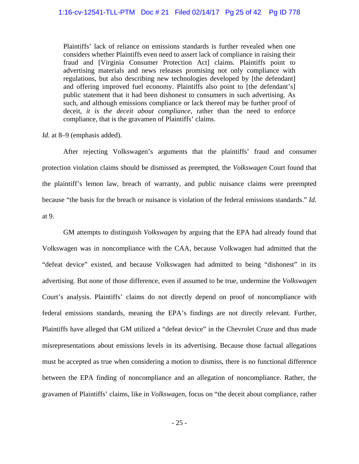Plaintiffs' lack of reliance on emissions standards is further revealed when one considers whether Plaintiffs even need to assert lack of compliance in raising their fraud and [Virginia Consumer Protection Act] claims. Plaintiffs point to advertising materials and news releases promising not only compliance with regulations, but also describing new technologies developed by [the defendant] and offering improved fuel economy. Plaintiffs also point to [the defendant's] public statement that it had been dishonest to consumers in such advertising. As such, and although emissions compliance or lack thereof may be further proof of deceit, *it is the deceit about compliance*, rather than the need to enforce compliance, that is the gravamen of Plaintiffs' claims.

*Id.* at 8–9 (emphasis added).

 After rejecting Volkswagen's arguments that the plaintiffs' fraud and consumer protection violation claims should be dismissed as preempted, the *Volkswagen* Court found that the plaintiff's lemon law, breach of warranty, and public nuisance claims were preempted because "the basis for the breach or nuisance is violation of the federal emissions standards." *Id.* at 9.

 GM attempts to distinguish *Volkswagen* by arguing that the EPA had already found that Volkswagen was in noncompliance with the CAA, because Volkwagen had admitted that the "defeat device" existed, and because Volkswagen had admitted to being "dishonest" in its advertising. But none of those difference, even if assumed to be true, undermine the *Volkswagen* Court's analysis. Plaintiffs' claims do not directly depend on proof of noncompliance with federal emissions standards, meaning the EPA's findings are not directly relevant. Further, Plaintiffs have alleged that GM utilized a "defeat device" in the Chevrolet Cruze and thus made misrepresentations about emissions levels in its advertising. Because those factual allegations must be accepted as true when considering a motion to dismiss, there is no functional difference between the EPA finding of noncompliance and an allegation of noncompliance. Rather, the gravamen of Plaintiffs' claims, like in *Volkswagen*, focus on "the deceit about compliance, rather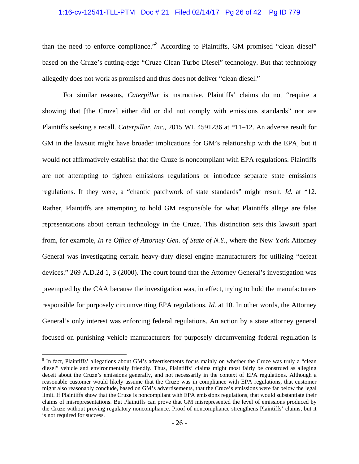### 1:16-cv-12541-TLL-PTM Doc # 21 Filed 02/14/17 Pg 26 of 42 Pg ID 779

than the need to enforce compliance."<sup>8</sup> According to Plaintiffs, GM promised "clean diesel" based on the Cruze's cutting-edge "Cruze Clean Turbo Diesel" technology. But that technology allegedly does not work as promised and thus does not deliver "clean diesel."

For similar reasons, *Caterpillar* is instructive. Plaintiffs' claims do not "require a showing that [the Cruze] either did or did not comply with emissions standards" nor are Plaintiffs seeking a recall. *Caterpillar, Inc.*, 2015 WL 4591236 at \*11–12. An adverse result for GM in the lawsuit might have broader implications for GM's relationship with the EPA, but it would not affirmatively establish that the Cruze is noncompliant with EPA regulations. Plaintiffs are not attempting to tighten emissions regulations or introduce separate state emissions regulations. If they were, a "chaotic patchwork of state standards" might result. *Id.* at \*12. Rather, Plaintiffs are attempting to hold GM responsible for what Plaintiffs allege are false representations about certain technology in the Cruze. This distinction sets this lawsuit apart from, for example, *In re Office of Attorney Gen. of State of N.Y.*, where the New York Attorney General was investigating certain heavy-duty diesel engine manufacturers for utilizing "defeat devices." 269 A.D.2d 1, 3 (2000). The court found that the Attorney General's investigation was preempted by the CAA because the investigation was, in effect, trying to hold the manufacturers responsible for purposely circumventing EPA regulations. *Id.* at 10. In other words, the Attorney General's only interest was enforcing federal regulations. An action by a state attorney general focused on punishing vehicle manufacturers for purposely circumventing federal regulation is

 $\overline{a}$ 

<sup>&</sup>lt;sup>8</sup> In fact, Plaintiffs' allegations about GM's advertisements focus mainly on whether the Cruze was truly a "clean diesel" vehicle and environmentally friendly. Thus, Plaintiffs' claims might most fairly be construed as alleging deceit about the Cruze's emissions generally, and not necessarily in the context of EPA regulations. Although a reasonable customer would likely assume that the Cruze was in compliance with EPA regulations, that customer might also reasonably conclude, based on GM's advertisements, that the Cruze's emissions were far below the legal limit. If Plaintiffs show that the Cruze is noncompliant with EPA emissions regulations, that would substantiate their claims of misrepresentations. But Plaintiffs can prove that GM misrepresented the level of emissions produced by the Cruze without proving regulatory noncompliance. Proof of noncompliance strengthens Plaintiffs' claims, but it is not required for success.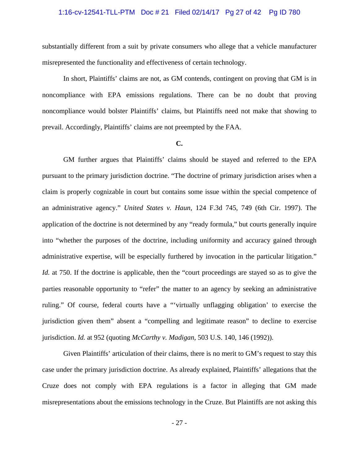### 1:16-cv-12541-TLL-PTM Doc # 21 Filed 02/14/17 Pg 27 of 42 Pg ID 780

substantially different from a suit by private consumers who allege that a vehicle manufacturer misrepresented the functionality and effectiveness of certain technology.

In short, Plaintiffs' claims are not, as GM contends, contingent on proving that GM is in noncompliance with EPA emissions regulations. There can be no doubt that proving noncompliance would bolster Plaintiffs' claims, but Plaintiffs need not make that showing to prevail. Accordingly, Plaintiffs' claims are not preempted by the FAA.

#### **C.**

 GM further argues that Plaintiffs' claims should be stayed and referred to the EPA pursuant to the primary jurisdiction doctrine. "The doctrine of primary jurisdiction arises when a claim is properly cognizable in court but contains some issue within the special competence of an administrative agency." *United States v. Haun*, 124 F.3d 745, 749 (6th Cir. 1997). The application of the doctrine is not determined by any "ready formula," but courts generally inquire into "whether the purposes of the doctrine, including uniformity and accuracy gained through administrative expertise, will be especially furthered by invocation in the particular litigation." *Id.* at 750. If the doctrine is applicable, then the "court proceedings are stayed so as to give the parties reasonable opportunity to "refer" the matter to an agency by seeking an administrative ruling." Of course, federal courts have a "'virtually unflagging obligation' to exercise the jurisdiction given them" absent a "compelling and legitimate reason" to decline to exercise jurisdiction. *Id.* at 952 (quoting *McCarthy v. Madigan*, 503 U.S. 140, 146 (1992)).

 Given Plaintiffs' articulation of their claims, there is no merit to GM's request to stay this case under the primary jurisdiction doctrine. As already explained, Plaintiffs' allegations that the Cruze does not comply with EPA regulations is a factor in alleging that GM made misrepresentations about the emissions technology in the Cruze. But Plaintiffs are not asking this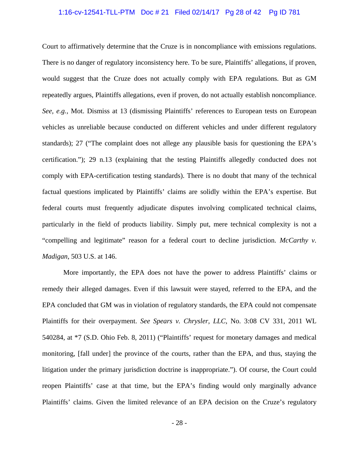### 1:16-cv-12541-TLL-PTM Doc # 21 Filed 02/14/17 Pg 28 of 42 Pg ID 781

Court to affirmatively determine that the Cruze is in noncompliance with emissions regulations. There is no danger of regulatory inconsistency here. To be sure, Plaintiffs' allegations, if proven, would suggest that the Cruze does not actually comply with EPA regulations. But as GM repeatedly argues, Plaintiffs allegations, even if proven, do not actually establish noncompliance. *See, e.g.,* Mot. Dismiss at 13 (dismissing Plaintiffs' references to European tests on European vehicles as unreliable because conducted on different vehicles and under different regulatory standards); 27 ("The complaint does not allege any plausible basis for questioning the EPA's certification."); 29 n.13 (explaining that the testing Plaintiffs allegedly conducted does not comply with EPA-certification testing standards). There is no doubt that many of the technical factual questions implicated by Plaintiffs' claims are solidly within the EPA's expertise. But federal courts must frequently adjudicate disputes involving complicated technical claims, particularly in the field of products liability. Simply put, mere technical complexity is not a "compelling and legitimate" reason for a federal court to decline jurisdiction. *McCarthy v. Madigan*, 503 U.S. at 146.

 More importantly, the EPA does not have the power to address Plaintiffs' claims or remedy their alleged damages. Even if this lawsuit were stayed, referred to the EPA, and the EPA concluded that GM was in violation of regulatory standards, the EPA could not compensate Plaintiffs for their overpayment. *See Spears v. Chrysler, LLC*, No. 3:08 CV 331, 2011 WL 540284, at \*7 (S.D. Ohio Feb. 8, 2011) ("Plaintiffs' request for monetary damages and medical monitoring, [fall under] the province of the courts, rather than the EPA, and thus, staying the litigation under the primary jurisdiction doctrine is inappropriate."). Of course, the Court could reopen Plaintiffs' case at that time, but the EPA's finding would only marginally advance Plaintiffs' claims. Given the limited relevance of an EPA decision on the Cruze's regulatory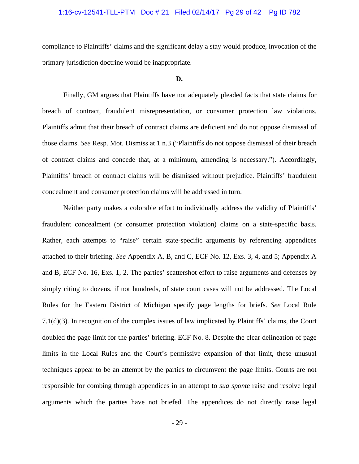### 1:16-cv-12541-TLL-PTM Doc # 21 Filed 02/14/17 Pg 29 of 42 Pg ID 782

compliance to Plaintiffs' claims and the significant delay a stay would produce, invocation of the primary jurisdiction doctrine would be inappropriate.

#### **D.**

 Finally, GM argues that Plaintiffs have not adequately pleaded facts that state claims for breach of contract, fraudulent misrepresentation, or consumer protection law violations. Plaintiffs admit that their breach of contract claims are deficient and do not oppose dismissal of those claims. *See* Resp. Mot. Dismiss at 1 n.3 ("Plaintiffs do not oppose dismissal of their breach of contract claims and concede that, at a minimum, amending is necessary."). Accordingly, Plaintiffs' breach of contract claims will be dismissed without prejudice. Plaintiffs' fraudulent concealment and consumer protection claims will be addressed in turn.

 Neither party makes a colorable effort to individually address the validity of Plaintiffs' fraudulent concealment (or consumer protection violation) claims on a state-specific basis. Rather, each attempts to "raise" certain state-specific arguments by referencing appendices attached to their briefing. *See* Appendix A, B, and C, ECF No. 12, Exs. 3, 4, and 5; Appendix A and B, ECF No. 16, Exs. 1, 2. The parties' scattershot effort to raise arguments and defenses by simply citing to dozens, if not hundreds, of state court cases will not be addressed. The Local Rules for the Eastern District of Michigan specify page lengths for briefs. *See* Local Rule 7.1(d)(3). In recognition of the complex issues of law implicated by Plaintiffs' claims, the Court doubled the page limit for the parties' briefing. ECF No. 8. Despite the clear delineation of page limits in the Local Rules and the Court's permissive expansion of that limit, these unusual techniques appear to be an attempt by the parties to circumvent the page limits. Courts are not responsible for combing through appendices in an attempt to *sua sponte* raise and resolve legal arguments which the parties have not briefed. The appendices do not directly raise legal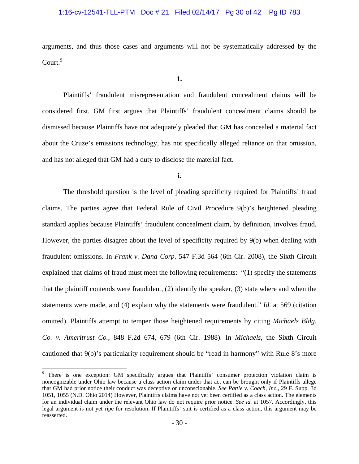## 1:16-cv-12541-TLL-PTM Doc # 21 Filed 02/14/17 Pg 30 of 42 Pg ID 783

arguments, and thus those cases and arguments will not be systematically addressed by the  $Count<sup>9</sup>$ 

**1.** 

 Plaintiffs' fraudulent misrepresentation and fraudulent concealment claims will be considered first. GM first argues that Plaintiffs' fraudulent concealment claims should be dismissed because Plaintiffs have not adequately pleaded that GM has concealed a material fact about the Cruze's emissions technology, has not specifically alleged reliance on that omission, and has not alleged that GM had a duty to disclose the material fact.

**i.** 

The threshold question is the level of pleading specificity required for Plaintiffs' fraud claims. The parties agree that Federal Rule of Civil Procedure 9(b)'s heightened pleading standard applies because Plaintiffs' fraudulent concealment claim, by definition, involves fraud. However, the parties disagree about the level of specificity required by 9(b) when dealing with fraudulent omissions. In *Frank v. Dana Corp*. 547 F.3d 564 (6th Cir. 2008), the Sixth Circuit explained that claims of fraud must meet the following requirements: "(1) specify the statements that the plaintiff contends were fraudulent,  $(2)$  identify the speaker,  $(3)$  state where and when the statements were made, and (4) explain why the statements were fraudulent." *Id*. at 569 (citation omitted). Plaintiffs attempt to temper those heightened requirements by citing *Michaels Bldg. Co. v. Ameritrust Co.*, 848 F.2d 674, 679 (6th Cir. 1988). In *Michaels*, the Sixth Circuit cautioned that 9(b)'s particularity requirement should be "read in harmony" with Rule 8's more

 $\overline{a}$ 

<sup>&</sup>lt;sup>9</sup> There is one exception: GM specifically argues that Plaintiffs' consumer protection violation claim is noncognizable under Ohio law because a class action claim under that act can be brought only if Plaintiffs allege that GM had prior notice their conduct was deceptive or unconscionable. *See Pattie v. Coach, Inc.*, 29 F. Supp. 3d 1051, 1055 (N.D. Ohio 2014) However, Plaintiffs claims have not yet been certified as a class action. The elements for an individual claim under the relevant Ohio law do not require prior notice. *See id.* at 1057. Accordingly, this legal argument is not yet ripe for resolution. If Plaintiffs' suit is certified as a class action, this argument may be reasserted.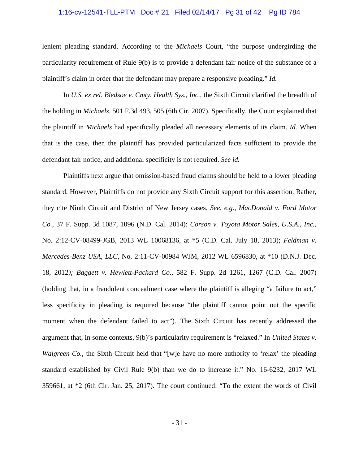### 1:16-cv-12541-TLL-PTM Doc # 21 Filed 02/14/17 Pg 31 of 42 Pg ID 784

lenient pleading standard. According to the *Michaels* Court, "the purpose undergirding the particularity requirement of Rule 9(b) is to provide a defendant fair notice of the substance of a plaintiff's claim in order that the defendant may prepare a responsive pleading." *Id.*

In *U.S. ex rel. Bledsoe v. Cmty. Health Sys., Inc.*, the Sixth Circuit clarified the breadth of the holding in *Michaels*. 501 F.3d 493, 505 (6th Cir. 2007). Specifically, the Court explained that the plaintiff in *Michaels* had specifically pleaded all necessary elements of its claim. *Id.* When that is the case, then the plaintiff has provided particularized facts sufficient to provide the defendant fair notice, and additional specificity is not required. *See id.* 

 Plaintiffs next argue that omission-based fraud claims should be held to a lower pleading standard. However, Plaintiffs do not provide any Sixth Circuit support for this assertion. Rather, they cite Ninth Circuit and District of New Jersey cases. *See, e.g., MacDonald v. Ford Motor Co.*, 37 F. Supp. 3d 1087, 1096 (N.D. Cal. 2014); *Corson v. Toyota Motor Sales, U.S.A., Inc.*, No. 2:12-CV-08499-JGB, 2013 WL 10068136, at \*5 (C.D. Cal. July 18, 2013); *Feldman v. Mercedes-Benz USA, LLC*, No. 2:11-CV-00984 WJM, 2012 WL 6596830, at \*10 (D.N.J. Dec. 18, 2012*); Baggett v. Hewlett-Packard Co.*, 582 F. Supp. 2d 1261, 1267 (C.D. Cal. 2007) (holding that, in a fraudulent concealment case where the plaintiff is alleging "a failure to act," less specificity in pleading is required because "the plaintiff cannot point out the specific moment when the defendant failed to act"). The Sixth Circuit has recently addressed the argument that, in some contexts, 9(b)'s particularity requirement is "relaxed." In *United States v. Walgreen Co.*, the Sixth Circuit held that "[w]e have no more authority to 'relax' the pleading standard established by Civil Rule 9(b) than we do to increase it." No. 16-6232, 2017 WL 359661, at \*2 (6th Cir. Jan. 25, 2017). The court continued: "To the extent the words of Civil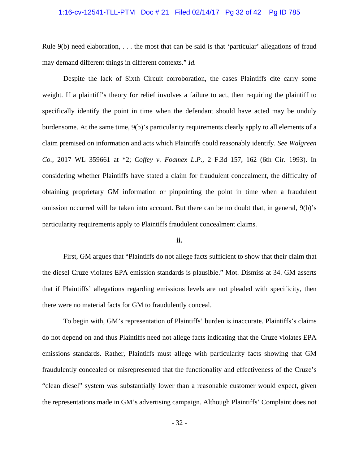### 1:16-cv-12541-TLL-PTM Doc # 21 Filed 02/14/17 Pg 32 of 42 Pg ID 785

Rule 9(b) need elaboration, . . . the most that can be said is that 'particular' allegations of fraud may demand different things in different contexts." *Id.*

 Despite the lack of Sixth Circuit corroboration, the cases Plaintiffs cite carry some weight. If a plaintiff's theory for relief involves a failure to act, then requiring the plaintiff to specifically identify the point in time when the defendant should have acted may be unduly burdensome. At the same time, 9(b)'s particularity requirements clearly apply to all elements of a claim premised on information and acts which Plaintiffs could reasonably identify. *See Walgreen Co.*, 2017 WL 359661 at \*2; *Coffey v. Foamex L.P.*, 2 F.3d 157, 162 (6th Cir. 1993). In considering whether Plaintiffs have stated a claim for fraudulent concealment, the difficulty of obtaining proprietary GM information or pinpointing the point in time when a fraudulent omission occurred will be taken into account. But there can be no doubt that, in general, 9(b)'s particularity requirements apply to Plaintiffs fraudulent concealment claims.

#### **ii.**

 First, GM argues that "Plaintiffs do not allege facts sufficient to show that their claim that the diesel Cruze violates EPA emission standards is plausible." Mot. Dismiss at 34. GM asserts that if Plaintiffs' allegations regarding emissions levels are not pleaded with specificity, then there were no material facts for GM to fraudulently conceal.

 To begin with, GM's representation of Plaintiffs' burden is inaccurate. Plaintiffs's claims do not depend on and thus Plaintiffs need not allege facts indicating that the Cruze violates EPA emissions standards. Rather, Plaintiffs must allege with particularity facts showing that GM fraudulently concealed or misrepresented that the functionality and effectiveness of the Cruze's "clean diesel" system was substantially lower than a reasonable customer would expect, given the representations made in GM's advertising campaign. Although Plaintiffs' Complaint does not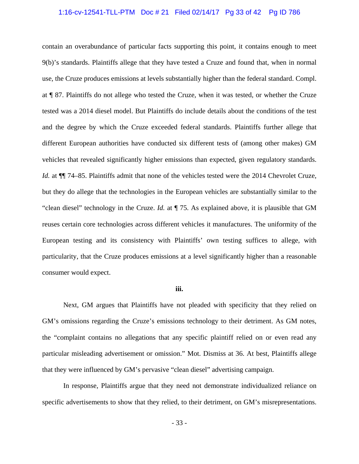### 1:16-cv-12541-TLL-PTM Doc # 21 Filed 02/14/17 Pg 33 of 42 Pg ID 786

contain an overabundance of particular facts supporting this point, it contains enough to meet 9(b)'s standards. Plaintiffs allege that they have tested a Cruze and found that, when in normal use, the Cruze produces emissions at levels substantially higher than the federal standard. Compl. at ¶ 87. Plaintiffs do not allege who tested the Cruze, when it was tested, or whether the Cruze tested was a 2014 diesel model. But Plaintiffs do include details about the conditions of the test and the degree by which the Cruze exceeded federal standards. Plaintiffs further allege that different European authorities have conducted six different tests of (among other makes) GM vehicles that revealed significantly higher emissions than expected, given regulatory standards. *Id.* at  $\P$  74–85. Plaintiffs admit that none of the vehicles tested were the 2014 Chevrolet Cruze, but they do allege that the technologies in the European vehicles are substantially similar to the "clean diesel" technology in the Cruze. *Id.* at ¶ 75. As explained above, it is plausible that GM reuses certain core technologies across different vehicles it manufactures. The uniformity of the European testing and its consistency with Plaintiffs' own testing suffices to allege, with particularity, that the Cruze produces emissions at a level significantly higher than a reasonable consumer would expect.

#### **iii.**

 Next, GM argues that Plaintiffs have not pleaded with specificity that they relied on GM's omissions regarding the Cruze's emissions technology to their detriment. As GM notes, the "complaint contains no allegations that any specific plaintiff relied on or even read any particular misleading advertisement or omission." Mot. Dismiss at 36. At best, Plaintiffs allege that they were influenced by GM's pervasive "clean diesel" advertising campaign.

 In response, Plaintiffs argue that they need not demonstrate individualized reliance on specific advertisements to show that they relied, to their detriment, on GM's misrepresentations.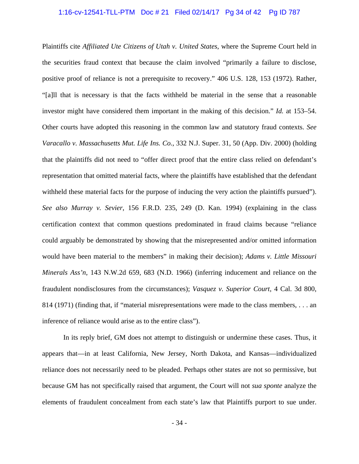### 1:16-cv-12541-TLL-PTM Doc # 21 Filed 02/14/17 Pg 34 of 42 Pg ID 787

Plaintiffs cite *Affiliated Ute Citizens of Utah v. United States*, where the Supreme Court held in the securities fraud context that because the claim involved "primarily a failure to disclose, positive proof of reliance is not a prerequisite to recovery." 406 U.S. 128, 153 (1972). Rather, "[a]ll that is necessary is that the facts withheld be material in the sense that a reasonable investor might have considered them important in the making of this decision." *Id.* at 153–54. Other courts have adopted this reasoning in the common law and statutory fraud contexts. *See Varacallo v. Massachusetts Mut. Life Ins. Co.*, 332 N.J. Super. 31, 50 (App. Div. 2000) (holding that the plaintiffs did not need to "offer direct proof that the entire class relied on defendant's representation that omitted material facts, where the plaintiffs have established that the defendant withheld these material facts for the purpose of inducing the very action the plaintiffs pursued"). *See also Murray v. Sevier*, 156 F.R.D. 235, 249 (D. Kan. 1994) (explaining in the class certification context that common questions predominated in fraud claims because "reliance could arguably be demonstrated by showing that the misrepresented and/or omitted information would have been material to the members" in making their decision); *Adams v. Little Missouri Minerals Ass'n*, 143 N.W.2d 659, 683 (N.D. 1966) (inferring inducement and reliance on the fraudulent nondisclosures from the circumstances); *Vasquez v. Superior Court*, 4 Cal. 3d 800, 814 (1971) (finding that, if "material misrepresentations were made to the class members, . . . an inference of reliance would arise as to the entire class").

 In its reply brief, GM does not attempt to distinguish or undermine these cases. Thus, it appears that—in at least California, New Jersey, North Dakota, and Kansas—individualized reliance does not necessarily need to be pleaded. Perhaps other states are not so permissive, but because GM has not specifically raised that argument, the Court will not *sua sponte* analyze the elements of fraudulent concealment from each state's law that Plaintiffs purport to sue under.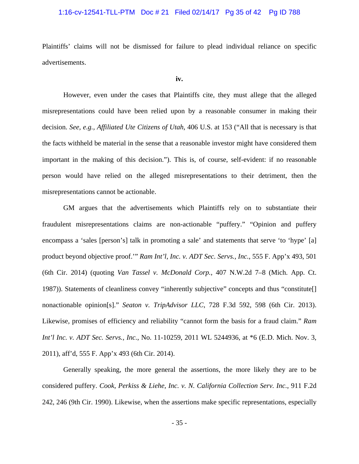## 1:16-cv-12541-TLL-PTM Doc # 21 Filed 02/14/17 Pg 35 of 42 Pg ID 788

Plaintiffs' claims will not be dismissed for failure to plead individual reliance on specific advertisements.

#### **iv.**

 However, even under the cases that Plaintiffs cite, they must allege that the alleged misrepresentations could have been relied upon by a reasonable consumer in making their decision. *See, e.g., Affiliated Ute Citizens of Utah*, 406 U.S. at 153 ("All that is necessary is that the facts withheld be material in the sense that a reasonable investor might have considered them important in the making of this decision."). This is, of course, self-evident: if no reasonable person would have relied on the alleged misrepresentations to their detriment, then the misrepresentations cannot be actionable.

 GM argues that the advertisements which Plaintiffs rely on to substantiate their fraudulent misrepresentations claims are non-actionable "puffery." "Opinion and puffery encompass a 'sales [person's] talk in promoting a sale' and statements that serve 'to 'hype' [a] product beyond objective proof.'" *Ram Int'l, Inc. v. ADT Sec. Servs., Inc.*, 555 F. App'x 493, 501 (6th Cir. 2014) (quoting *Van Tassel v. McDonald Corp.*, 407 N.W.2d 7–8 (Mich. App. Ct. 1987)). Statements of cleanliness convey "inherently subjective" concepts and thus "constitute[] nonactionable opinion[s]." *Seaton v. TripAdvisor LLC*, 728 F.3d 592, 598 (6th Cir. 2013). Likewise, promises of efficiency and reliability "cannot form the basis for a fraud claim." *Ram Int'l Inc. v. ADT Sec. Servs., Inc.*, No. 11-10259, 2011 WL 5244936, at \*6 (E.D. Mich. Nov. 3, 2011), aff'd, 555 F. App'x 493 (6th Cir. 2014).

 Generally speaking, the more general the assertions, the more likely they are to be considered puffery. *Cook, Perkiss & Liehe, Inc. v. N. California Collection Serv. Inc.*, 911 F.2d 242, 246 (9th Cir. 1990). Likewise, when the assertions make specific representations, especially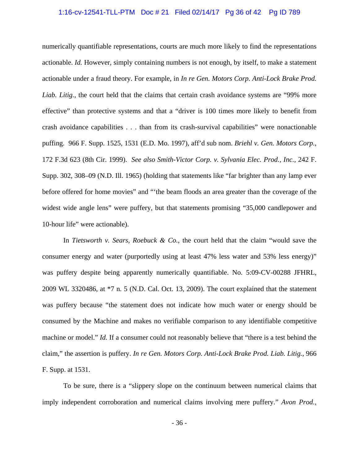### 1:16-cv-12541-TLL-PTM Doc # 21 Filed 02/14/17 Pg 36 of 42 Pg ID 789

numerically quantifiable representations, courts are much more likely to find the representations actionable. *Id.* However, simply containing numbers is not enough, by itself, to make a statement actionable under a fraud theory. For example, in *In re Gen. Motors Corp. Anti-Lock Brake Prod. Liab. Litig.*, the court held that the claims that certain crash avoidance systems are "99% more effective" than protective systems and that a "driver is 100 times more likely to benefit from crash avoidance capabilities . . . than from its crash-survival capabilities" were nonactionable puffing. 966 F. Supp. 1525, 1531 (E.D. Mo. 1997), aff'd sub nom. *Briehl v. Gen. Motors Corp.*, 172 F.3d 623 (8th Cir. 1999). *See also Smith-Victor Corp. v. Sylvania Elec. Prod., Inc.*, 242 F. Supp. 302, 308–09 (N.D. Ill. 1965) (holding that statements like "far brighter than any lamp ever before offered for home movies" and "'the beam floods an area greater than the coverage of the widest wide angle lens" were puffery, but that statements promising "35,000 candlepower and 10-hour life" were actionable).

 In *Tietsworth v. Sears, Roebuck & Co.*, the court held that the claim "would save the consumer energy and water (purportedly using at least 47% less water and 53% less energy)" was puffery despite being apparently numerically quantifiable. No. 5:09-CV-00288 JFHRL, 2009 WL 3320486, at \*7 n. 5 (N.D. Cal. Oct. 13, 2009). The court explained that the statement was puffery because "the statement does not indicate how much water or energy should be consumed by the Machine and makes no verifiable comparison to any identifiable competitive machine or model." *Id.* If a consumer could not reasonably believe that "there is a test behind the claim," the assertion is puffery. *In re Gen. Motors Corp. Anti-Lock Brake Prod. Liab. Litig.*, 966 F. Supp. at 1531.

 To be sure, there is a "slippery slope on the continuum between numerical claims that imply independent corroboration and numerical claims involving mere puffery." *Avon Prod.,*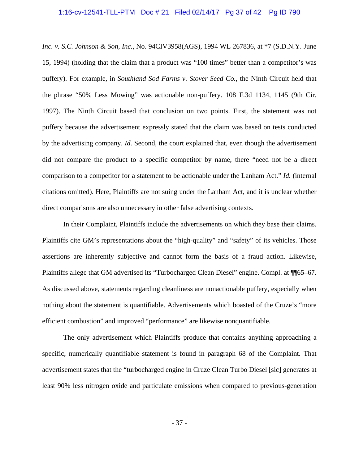### 1:16-cv-12541-TLL-PTM Doc # 21 Filed 02/14/17 Pg 37 of 42 Pg ID 790

*Inc. v. S.C. Johnson & Son, Inc.*, No. 94CIV3958(AGS), 1994 WL 267836, at \*7 (S.D.N.Y. June 15, 1994) (holding that the claim that a product was "100 times" better than a competitor's was puffery). For example, in *Southland Sod Farms v. Stover Seed Co.*, the Ninth Circuit held that the phrase "50% Less Mowing" was actionable non-puffery. 108 F.3d 1134, 1145 (9th Cir. 1997). The Ninth Circuit based that conclusion on two points. First, the statement was not puffery because the advertisement expressly stated that the claim was based on tests conducted by the advertising company. *Id.* Second, the court explained that, even though the advertisement did not compare the product to a specific competitor by name, there "need not be a direct comparison to a competitor for a statement to be actionable under the Lanham Act." *Id.* (internal citations omitted). Here, Plaintiffs are not suing under the Lanham Act, and it is unclear whether direct comparisons are also unnecessary in other false advertising contexts.

 In their Complaint, Plaintiffs include the advertisements on which they base their claims. Plaintiffs cite GM's representations about the "high-quality" and "safety" of its vehicles. Those assertions are inherently subjective and cannot form the basis of a fraud action. Likewise, Plaintiffs allege that GM advertised its "Turbocharged Clean Diesel" engine. Compl. at ¶65–67. As discussed above, statements regarding cleanliness are nonactionable puffery, especially when nothing about the statement is quantifiable. Advertisements which boasted of the Cruze's "more efficient combustion" and improved "performance" are likewise nonquantifiable.

 The only advertisement which Plaintiffs produce that contains anything approaching a specific, numerically quantifiable statement is found in paragraph 68 of the Complaint. That advertisement states that the "turbocharged engine in Cruze Clean Turbo Diesel [sic] generates at least 90% less nitrogen oxide and particulate emissions when compared to previous-generation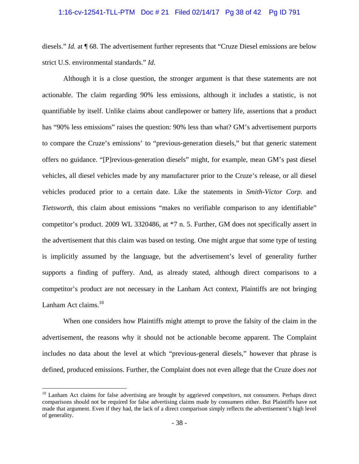### 1:16-cv-12541-TLL-PTM Doc # 21 Filed 02/14/17 Pg 38 of 42 Pg ID 791

diesels." *Id.* at ¶ 68. The advertisement further represents that "Cruze Diesel emissions are below strict U.S. environmental standards." *Id.*

 Although it is a close question, the stronger argument is that these statements are not actionable. The claim regarding 90% less emissions, although it includes a statistic, is not quantifiable by itself. Unlike claims about candlepower or battery life, assertions that a product has "90% less emissions" raises the question: 90% less than what? GM's advertisement purports to compare the Cruze's emissions' to "previous-generation diesels," but that generic statement offers no guidance. "[P]revious-generation diesels" might, for example, mean GM's past diesel vehicles, all diesel vehicles made by any manufacturer prior to the Cruze's release, or all diesel vehicles produced prior to a certain date. Like the statements in *Smith-Victor Corp.* and *Tietsworth*, this claim about emissions "makes no verifiable comparison to any identifiable" competitor's product. 2009 WL 3320486, at \*7 n. 5. Further, GM does not specifically assert in the advertisement that this claim was based on testing. One might argue that some type of testing is implicitly assumed by the language, but the advertisement's level of generality further supports a finding of puffery. And, as already stated, although direct comparisons to a competitor's product are not necessary in the Lanham Act context, Plaintiffs are not bringing Lanham Act claims. $10$ 

 When one considers how Plaintiffs might attempt to prove the falsity of the claim in the advertisement, the reasons why it should not be actionable become apparent. The Complaint includes no data about the level at which "previous-general diesels," however that phrase is defined, produced emissions. Further, the Complaint does not even allege that the Cruze *does not*

1

<sup>&</sup>lt;sup>10</sup> Lanham Act claims for false advertising are brought by aggrieved *competitors*, not consumers. Perhaps direct comparisons should not be required for false advertising claims made by consumers either. But Plaintiffs have not made that argument. Even if they had, the lack of a direct comparison simply reflects the advertisement's high level of generality.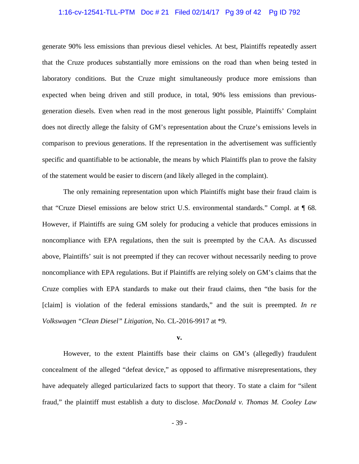### 1:16-cv-12541-TLL-PTM Doc # 21 Filed 02/14/17 Pg 39 of 42 Pg ID 792

generate 90% less emissions than previous diesel vehicles. At best, Plaintiffs repeatedly assert that the Cruze produces substantially more emissions on the road than when being tested in laboratory conditions. But the Cruze might simultaneously produce more emissions than expected when being driven and still produce, in total, 90% less emissions than previousgeneration diesels. Even when read in the most generous light possible, Plaintiffs' Complaint does not directly allege the falsity of GM's representation about the Cruze's emissions levels in comparison to previous generations. If the representation in the advertisement was sufficiently specific and quantifiable to be actionable, the means by which Plaintiffs plan to prove the falsity of the statement would be easier to discern (and likely alleged in the complaint).

 The only remaining representation upon which Plaintiffs might base their fraud claim is that "Cruze Diesel emissions are below strict U.S. environmental standards." Compl. at ¶ 68. However, if Plaintiffs are suing GM solely for producing a vehicle that produces emissions in noncompliance with EPA regulations, then the suit is preempted by the CAA. As discussed above, Plaintiffs' suit is not preempted if they can recover without necessarily needing to prove noncompliance with EPA regulations. But if Plaintiffs are relying solely on GM's claims that the Cruze complies with EPA standards to make out their fraud claims, then "the basis for the [claim] is violation of the federal emissions standards," and the suit is preempted. *In re Volkswagen "Clean Diesel" Litigation*, No. CL-2016-9917 at \*9.

#### **v.**

 However, to the extent Plaintiffs base their claims on GM's (allegedly) fraudulent concealment of the alleged "defeat device," as opposed to affirmative misrepresentations, they have adequately alleged particularized facts to support that theory. To state a claim for "silent fraud," the plaintiff must establish a duty to disclose. *MacDonald v. Thomas M. Cooley Law*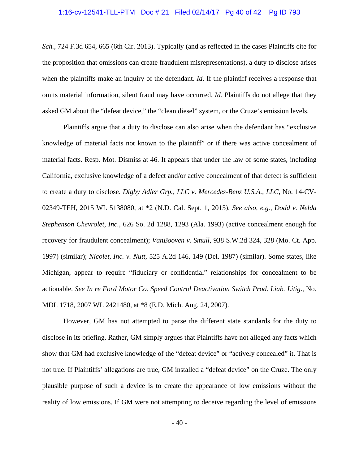### 1:16-cv-12541-TLL-PTM Doc # 21 Filed 02/14/17 Pg 40 of 42 Pg ID 793

*Sch.*, 724 F.3d 654, 665 (6th Cir. 2013). Typically (and as reflected in the cases Plaintiffs cite for the proposition that omissions can create fraudulent misrepresentations), a duty to disclose arises when the plaintiffs make an inquiry of the defendant. *Id*. If the plaintiff receives a response that omits material information, silent fraud may have occurred. *Id.* Plaintiffs do not allege that they asked GM about the "defeat device," the "clean diesel" system, or the Cruze's emission levels.

 Plaintiffs argue that a duty to disclose can also arise when the defendant has "exclusive knowledge of material facts not known to the plaintiff" or if there was active concealment of material facts. Resp. Mot. Dismiss at 46. It appears that under the law of some states, including California, exclusive knowledge of a defect and/or active concealment of that defect is sufficient to create a duty to disclose. *Digby Adler Grp., LLC v. Mercedes-Benz U.S.A., LLC*, No. 14-CV-02349-TEH, 2015 WL 5138080, at \*2 (N.D. Cal. Sept. 1, 2015). *See also, e.g., Dodd v. Nelda Stephenson Chevrolet, Inc.*, 626 So. 2d 1288, 1293 (Ala. 1993) (active concealment enough for recovery for fraudulent concealment); *VanBooven v. Smull*, 938 S.W.2d 324, 328 (Mo. Ct. App. 1997) (similar); *Nicolet, Inc. v. Nutt*, 525 A.2d 146, 149 (Del. 1987) (similar). Some states, like Michigan, appear to require "fiduciary or confidential" relationships for concealment to be actionable. *See In re Ford Motor Co. Speed Control Deactivation Switch Prod. Liab. Litig*., No. MDL 1718, 2007 WL 2421480, at \*8 (E.D. Mich. Aug. 24, 2007).

However, GM has not attempted to parse the different state standards for the duty to disclose in its briefing. Rather, GM simply argues that Plaintiffs have not alleged any facts which show that GM had exclusive knowledge of the "defeat device" or "actively concealed" it. That is not true. If Plaintiffs' allegations are true, GM installed a "defeat device" on the Cruze. The only plausible purpose of such a device is to create the appearance of low emissions without the reality of low emissions. If GM were not attempting to deceive regarding the level of emissions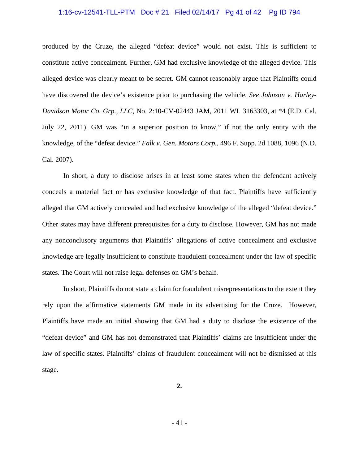### 1:16-cv-12541-TLL-PTM Doc # 21 Filed 02/14/17 Pg 41 of 42 Pg ID 794

produced by the Cruze, the alleged "defeat device" would not exist. This is sufficient to constitute active concealment. Further, GM had exclusive knowledge of the alleged device. This alleged device was clearly meant to be secret. GM cannot reasonably argue that Plaintiffs could have discovered the device's existence prior to purchasing the vehicle. *See Johnson v. Harley-Davidson Motor Co. Grp., LLC*, No. 2:10-CV-02443 JAM, 2011 WL 3163303, at \*4 (E.D. Cal. July 22, 2011). GM was "in a superior position to know," if not the only entity with the knowledge, of the "defeat device." *Falk v. Gen. Motors Corp.*, 496 F. Supp. 2d 1088, 1096 (N.D. Cal. 2007).

 In short, a duty to disclose arises in at least some states when the defendant actively conceals a material fact or has exclusive knowledge of that fact. Plaintiffs have sufficiently alleged that GM actively concealed and had exclusive knowledge of the alleged "defeat device." Other states may have different prerequisites for a duty to disclose. However, GM has not made any nonconclusory arguments that Plaintiffs' allegations of active concealment and exclusive knowledge are legally insufficient to constitute fraudulent concealment under the law of specific states. The Court will not raise legal defenses on GM's behalf.

 In short, Plaintiffs do not state a claim for fraudulent misrepresentations to the extent they rely upon the affirmative statements GM made in its advertising for the Cruze. However, Plaintiffs have made an initial showing that GM had a duty to disclose the existence of the "defeat device" and GM has not demonstrated that Plaintiffs' claims are insufficient under the law of specific states. Plaintiffs' claims of fraudulent concealment will not be dismissed at this stage.

**2.**